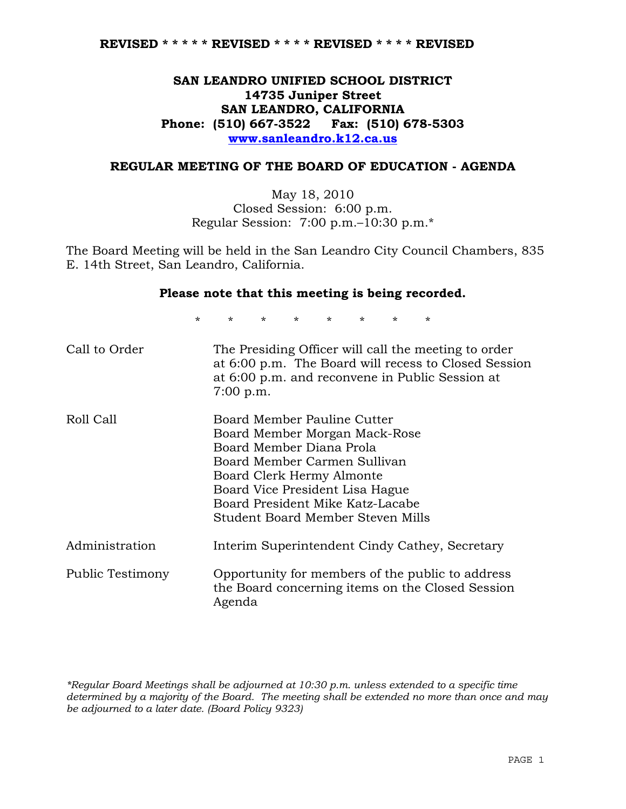# **SAN LEANDRO UNIFIED SCHOOL DISTRICT 14735 Juniper Street SAN LEANDRO, CALIFORNIA Phone: (510) 667-3522 Fax: (510) 678-5303 www.sanleandro.k12.ca.us**

### **REGULAR MEETING OF THE BOARD OF EDUCATION - AGENDA**

May 18, 2010 Closed Session: 6:00 p.m. Regular Session: 7:00 p.m.–10:30 p.m.\*

The Board Meeting will be held in the San Leandro City Council Chambers, 835 E. 14th Street, San Leandro, California.

### **Please note that this meeting is being recorded.**

\* \* \* \* \* \* \* \*

| Call to Order    | The Presiding Officer will call the meeting to order<br>at 6:00 p.m. The Board will recess to Closed Session<br>at 6:00 p.m. and reconvene in Public Session at<br>7:00 p.m.                                                                                      |
|------------------|-------------------------------------------------------------------------------------------------------------------------------------------------------------------------------------------------------------------------------------------------------------------|
| Roll Call        | Board Member Pauline Cutter<br>Board Member Morgan Mack-Rose<br>Board Member Diana Prola<br>Board Member Carmen Sullivan<br>Board Clerk Hermy Almonte<br>Board Vice President Lisa Hague<br>Board President Mike Katz-Lacabe<br>Student Board Member Steven Mills |
| Administration   | Interim Superintendent Cindy Cathey, Secretary                                                                                                                                                                                                                    |
| Public Testimony | Opportunity for members of the public to address<br>the Board concerning items on the Closed Session<br>Agenda                                                                                                                                                    |

*\*Regular Board Meetings shall be adjourned at 10:30 p.m. unless extended to a specific time determined by a majority of the Board. The meeting shall be extended no more than once and may be adjourned to a later date. (Board Policy 9323)*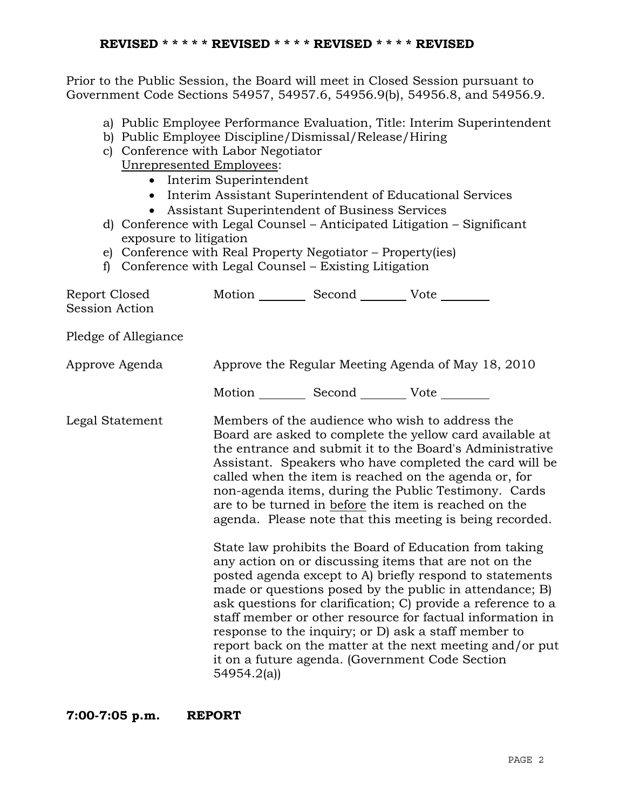Prior to the Public Session, the Board will meet in Closed Session pursuant to Government Code Sections 54957, 54957.6, 54956.9(b), 54956.8, and 54956.9.

- a) Public Employee Performance Evaluation, Title: Interim Superintendent
- b) Public Employee Discipline/Dismissal/Release/Hiring
- c) Conference with Labor Negotiator

Unrepresented Employees:

- Interim Superintendent
- Interim Assistant Superintendent of Educational Services
- Assistant Superintendent of Business Services
- d) Conference with Legal Counsel Anticipated Litigation Significant exposure to litigation
- e) Conference with Real Property Negotiator Property(ies)
- f) Conference with Legal Counsel Existing Litigation

| Report Closed<br>Session Action | Motion __________ Second __________ Vote ________     |                                                                                                                                                                                                                                                                                                                                                                                                                                                                                                                                                                                                                                                                                                                                                                                                                                                                                                                                                                                                                        |
|---------------------------------|-------------------------------------------------------|------------------------------------------------------------------------------------------------------------------------------------------------------------------------------------------------------------------------------------------------------------------------------------------------------------------------------------------------------------------------------------------------------------------------------------------------------------------------------------------------------------------------------------------------------------------------------------------------------------------------------------------------------------------------------------------------------------------------------------------------------------------------------------------------------------------------------------------------------------------------------------------------------------------------------------------------------------------------------------------------------------------------|
| Pledge of Allegiance            |                                                       |                                                                                                                                                                                                                                                                                                                                                                                                                                                                                                                                                                                                                                                                                                                                                                                                                                                                                                                                                                                                                        |
| Approve Agenda                  |                                                       | Approve the Regular Meeting Agenda of May 18, 2010                                                                                                                                                                                                                                                                                                                                                                                                                                                                                                                                                                                                                                                                                                                                                                                                                                                                                                                                                                     |
|                                 | Motion ___________ Second ____________ Vote _________ |                                                                                                                                                                                                                                                                                                                                                                                                                                                                                                                                                                                                                                                                                                                                                                                                                                                                                                                                                                                                                        |
| Legal Statement                 | 54954.2(a)                                            | Members of the audience who wish to address the<br>Board are asked to complete the yellow card available at<br>the entrance and submit it to the Board's Administrative<br>Assistant. Speakers who have completed the card will be<br>called when the item is reached on the agenda or, for<br>non-agenda items, during the Public Testimony. Cards<br>are to be turned in before the item is reached on the<br>agenda. Please note that this meeting is being recorded.<br>State law prohibits the Board of Education from taking<br>any action on or discussing items that are not on the<br>posted agenda except to A) briefly respond to statements<br>made or questions posed by the public in attendance; B)<br>ask questions for clarification; C) provide a reference to a<br>staff member or other resource for factual information in<br>response to the inquiry; or D) ask a staff member to<br>report back on the matter at the next meeting and/or put<br>it on a future agenda. (Government Code Section |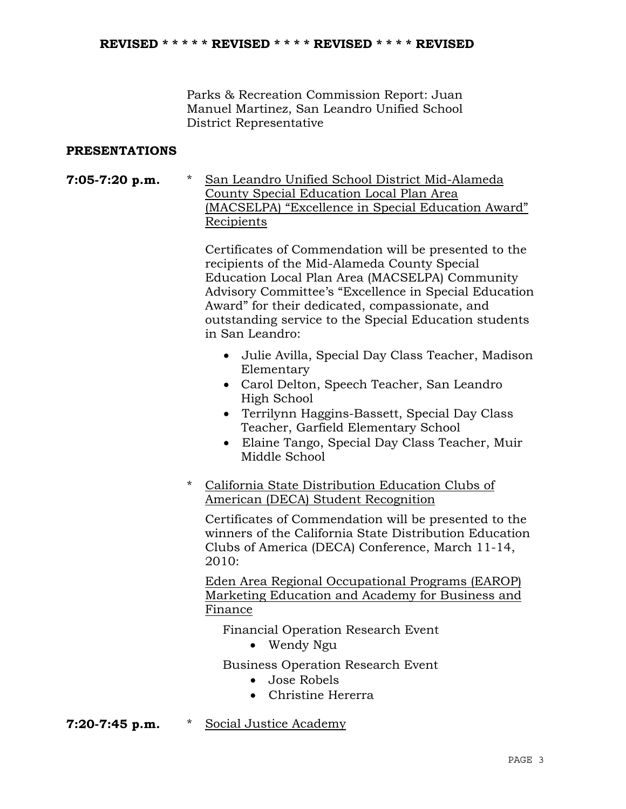Parks & Recreation Commission Report: Juan Manuel Martinez, San Leandro Unified School District Representative

## **PRESENTATIONS**

**7:05-7:20 p.m.** \* San Leandro Unified School District Mid-Alameda County Special Education Local Plan Area (MACSELPA) "Excellence in Special Education Award" Recipients

> Certificates of Commendation will be presented to the recipients of the Mid-Alameda County Special Education Local Plan Area (MACSELPA) Community Advisory Committee's "Excellence in Special Education Award" for their dedicated, compassionate, and outstanding service to the Special Education students in San Leandro:

- Julie Avilla, Special Day Class Teacher, Madison Elementary
- Carol Delton, Speech Teacher, San Leandro High School
- Terrilynn Haggins-Bassett, Special Day Class Teacher, Garfield Elementary School
- Elaine Tango, Special Day Class Teacher, Muir Middle School
- \* California State Distribution Education Clubs of American (DECA) Student Recognition

 Certificates of Commendation will be presented to the winners of the California State Distribution Education Clubs of America (DECA) Conference, March 11-14, 2010:

Eden Area Regional Occupational Programs (EAROP) Marketing Education and Academy for Business and Finance

Financial Operation Research Event

• Wendy Ngu

Business Operation Research Event

- Jose Robels
- Christine Hererra
- **7:20-7:45 p.m.** \* Social Justice Academy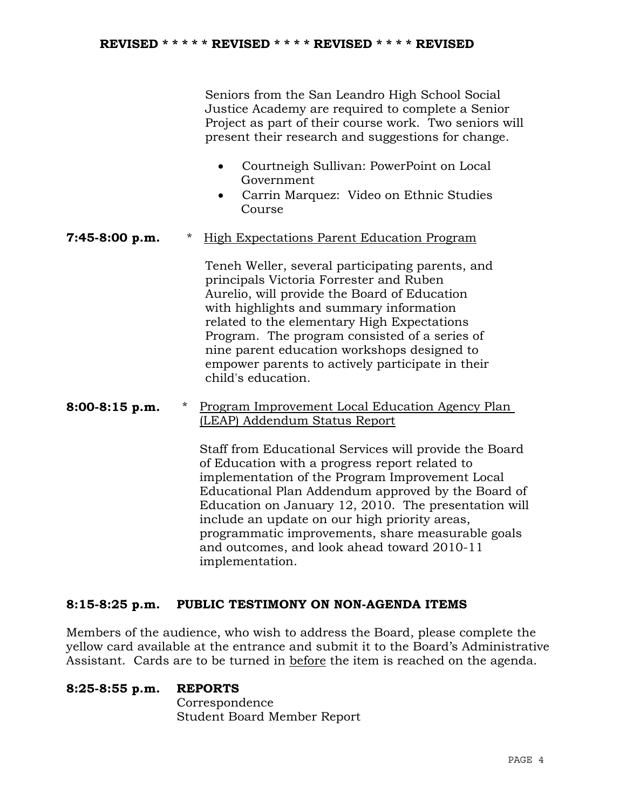Seniors from the San Leandro High School Social Justice Academy are required to complete a Senior Project as part of their course work. Two seniors will present their research and suggestions for change.

- Courtneigh Sullivan: PowerPoint on Local Government
- Carrin Marquez: Video on Ethnic Studies Course
- **7:45-8:00 p.m.** \* High Expectations Parent Education Program

 Teneh Weller, several participating parents, and principals Victoria Forrester and Ruben Aurelio, will provide the Board of Education with highlights and summary information related to the elementary High Expectations Program. The program consisted of a series of nine parent education workshops designed to empower parents to actively participate in their child's education.

**8:00-8:15 p.m.** \* Program Improvement Local Education Agency Plan (LEAP) Addendum Status Report

> Staff from Educational Services will provide the Board of Education with a progress report related to implementation of the Program Improvement Local Educational Plan Addendum approved by the Board of Education on January 12, 2010. The presentation will include an update on our high priority areas, programmatic improvements, share measurable goals and outcomes, and look ahead toward 2010-11 implementation.

# **8:15-8:25 p.m. PUBLIC TESTIMONY ON NON-AGENDA ITEMS**

Members of the audience, who wish to address the Board, please complete the yellow card available at the entrance and submit it to the Board's Administrative Assistant. Cards are to be turned in before the item is reached on the agenda.

### **8:25-8:55 p.m. REPORTS**

 Correspondence Student Board Member Report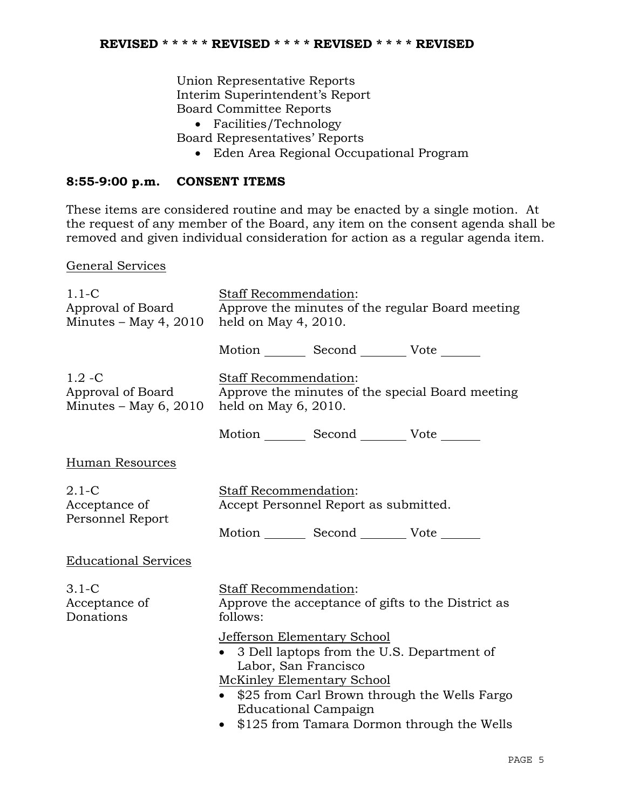Union Representative Reports Interim Superintendent's Report Board Committee Reports

- Facilities/Technology
- Board Representatives' Reports
	- Eden Area Regional Occupational Program

# **8:55-9:00 p.m. CONSENT ITEMS**

These items are considered routine and may be enacted by a single motion. At the request of any member of the Board, any item on the consent agenda shall be removed and given individual consideration for action as a regular agenda item.

General Services

| $1.1-C$<br>Approval of Board<br>Minutes $-$ May 4, 2010   | <b>Staff Recommendation:</b><br>Approve the minutes of the regular Board meeting<br>held on May $4, 2010$ .                                                                                                                                                                          |
|-----------------------------------------------------------|--------------------------------------------------------------------------------------------------------------------------------------------------------------------------------------------------------------------------------------------------------------------------------------|
|                                                           | Motion _________ Second __________ Vote _______                                                                                                                                                                                                                                      |
| $1.2 - C$<br>Approval of Board<br>Minutes $-$ May 6, 2010 | Staff Recommendation:<br>Approve the minutes of the special Board meeting<br>held on May 6, 2010.                                                                                                                                                                                    |
|                                                           | Motion _________ Second __________ Vote _______                                                                                                                                                                                                                                      |
| <b>Human Resources</b>                                    |                                                                                                                                                                                                                                                                                      |
| $2.1-C$<br>Acceptance of<br>Personnel Report              | Staff Recommendation:<br>Accept Personnel Report as submitted.                                                                                                                                                                                                                       |
| <b>Educational Services</b>                               | Motion _________ Second __________ Vote _______                                                                                                                                                                                                                                      |
|                                                           |                                                                                                                                                                                                                                                                                      |
| $3.1-C$<br>Acceptance of<br>Donations                     | Staff Recommendation:<br>Approve the acceptance of gifts to the District as<br>follows:                                                                                                                                                                                              |
|                                                           | Jefferson Elementary School<br>3 Dell laptops from the U.S. Department of<br>$\bullet$<br>Labor, San Francisco<br><b>McKinley Elementary School</b><br>• \$25 from Carl Brown through the Wells Fargo<br><b>Educational Campaign</b><br>• \$125 from Tamara Dormon through the Wells |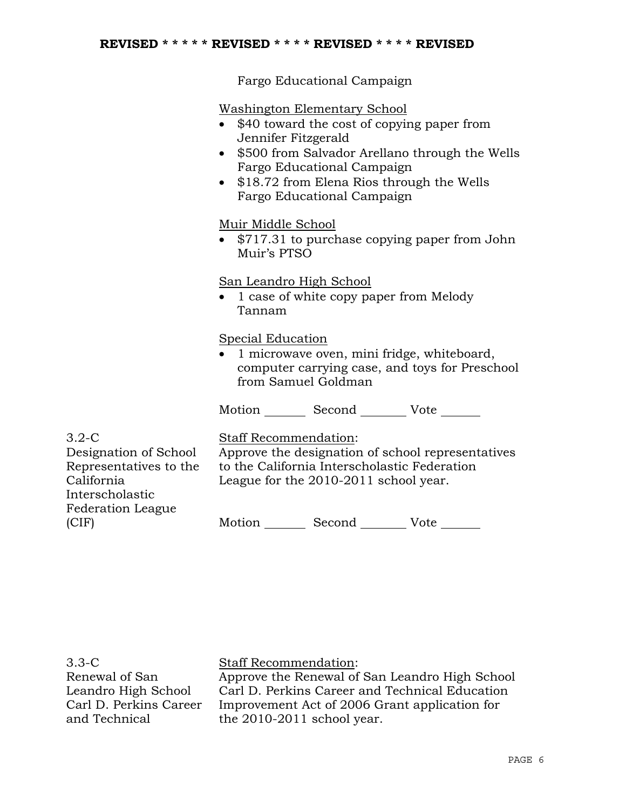Fargo Educational Campaign

Washington Elementary School

- \$40 toward the cost of copying paper from Jennifer Fitzgerald
- \$500 from Salvador Arellano through the Wells Fargo Educational Campaign
- \$18.72 from Elena Rios through the Wells Fargo Educational Campaign

### Muir Middle School

• \$717.31 to purchase copying paper from John Muir's PTSO

# San Leandro High School

• 1 case of white copy paper from Melody Tannam

### Special Education

• 1 microwave oven, mini fridge, whiteboard, computer carrying case, and toys for Preschool from Samuel Goldman

Motion Second Vote

3.2-C Designation of School Representatives to the California Interscholastic Federation League (CIF)

Staff Recommendation:

Approve the designation of school representatives to the California Interscholastic Federation League for the 2010-2011 school year.

Motion Second Vote

3.3-C Renewal of San Leandro High School Carl D. Perkins Career and Technical

Staff Recommendation:

Approve the Renewal of San Leandro High School Carl D. Perkins Career and Technical Education Improvement Act of 2006 Grant application for the 2010-2011 school year.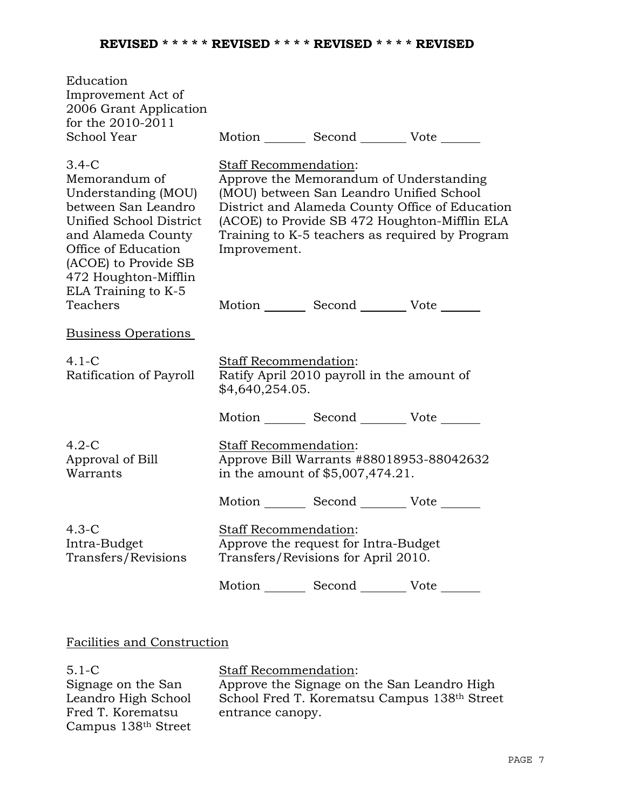| Education<br>Improvement Act of<br>2006 Grant Application<br>for the 2010-2011<br>School Year                                                                                                                         |                                              | Motion Second Vote                                                                  |                                                                                                                                                     |
|-----------------------------------------------------------------------------------------------------------------------------------------------------------------------------------------------------------------------|----------------------------------------------|-------------------------------------------------------------------------------------|-----------------------------------------------------------------------------------------------------------------------------------------------------|
| $3.4-C$<br>Memorandum of<br>Understanding (MOU)<br>between San Leandro<br>Unified School District<br>and Alameda County<br>Office of Education<br>(ACOE) to Provide SB<br>472 Houghton-Mifflin<br>ELA Training to K-5 | <b>Staff Recommendation:</b><br>Improvement. | Approve the Memorandum of Understanding<br>(MOU) between San Leandro Unified School | District and Alameda County Office of Education<br>(ACOE) to Provide SB 472 Houghton-Mifflin ELA<br>Training to K-5 teachers as required by Program |
| Teachers                                                                                                                                                                                                              |                                              | Motion _________ Second __________ Vote _______                                     |                                                                                                                                                     |
| <b>Business Operations</b>                                                                                                                                                                                            |                                              |                                                                                     |                                                                                                                                                     |
| $4.1-C$<br>Ratification of Payroll                                                                                                                                                                                    | Staff Recommendation:<br>\$4,640,254.05.     | Ratify April 2010 payroll in the amount of                                          |                                                                                                                                                     |
|                                                                                                                                                                                                                       |                                              | Motion _________ Second _________ Vote _______                                      |                                                                                                                                                     |
| $4.2-C$<br>Approval of Bill<br>Warrants                                                                                                                                                                               | Staff Recommendation:                        | Approve Bill Warrants #88018953-88042632<br>in the amount of \$5,007,474.21.        |                                                                                                                                                     |
|                                                                                                                                                                                                                       |                                              | Motion _________ Second __________ Vote _______                                     |                                                                                                                                                     |
| $4.3-C$<br>Intra-Budget<br>Transfers/Revisions                                                                                                                                                                        | Staff Recommendation:                        | Approve the request for Intra-Budget<br>Transfers/Revisions for April 2010.         |                                                                                                                                                     |
|                                                                                                                                                                                                                       |                                              | Motion _________ Second __________ Vote _______                                     |                                                                                                                                                     |

# Facilities and Construction

| $5.1 - C$                       | <b>Staff Recommendation:</b>                 |
|---------------------------------|----------------------------------------------|
| Signage on the San              | Approve the Signage on the San Leandro High  |
| Leandro High School             | School Fred T. Korematsu Campus 138th Street |
| Fred T. Korematsu               | entrance canopy.                             |
| Campus 138 <sup>th</sup> Street |                                              |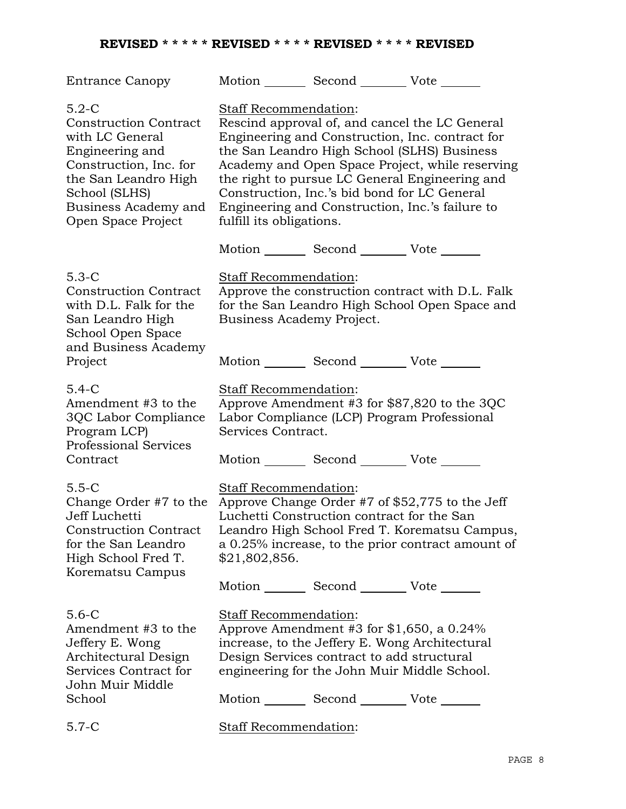# **REVISED \* \* \* \* \* REVISED \* \* \* \* REVISED \* \* \* \* REVISED**

| <b>Entrance Canopy</b>                                                                                                                                                                                                                       |                                                   | Motion _________ Second __________ Vote _______                                               |                                                                                                                                                                                                                                                                                                                                                          |
|----------------------------------------------------------------------------------------------------------------------------------------------------------------------------------------------------------------------------------------------|---------------------------------------------------|-----------------------------------------------------------------------------------------------|----------------------------------------------------------------------------------------------------------------------------------------------------------------------------------------------------------------------------------------------------------------------------------------------------------------------------------------------------------|
| $5.2-C$<br><b>Construction Contract</b><br>with LC General<br>Engineering and<br>Construction, Inc. for<br>the San Leandro High<br>School (SLHS)<br>Business Academy and<br>Open Space Project                                               | Staff Recommendation:<br>fulfill its obligations. |                                                                                               | Rescind approval of, and cancel the LC General<br>Engineering and Construction, Inc. contract for<br>the San Leandro High School (SLHS) Business<br>Academy and Open Space Project, while reserving<br>the right to pursue LC General Engineering and<br>Construction, Inc.'s bid bond for LC General<br>Engineering and Construction, Inc.'s failure to |
|                                                                                                                                                                                                                                              |                                                   | Motion _________ Second __________ Vote _______                                               |                                                                                                                                                                                                                                                                                                                                                          |
| $5.3-C$<br><b>Construction Contract</b><br>with D.L. Falk for the<br>San Leandro High<br>School Open Space<br>and Business Academy                                                                                                           | Staff Recommendation:                             | Business Academy Project.                                                                     | Approve the construction contract with D.L. Falk<br>for the San Leandro High School Open Space and                                                                                                                                                                                                                                                       |
| Project                                                                                                                                                                                                                                      |                                                   | Motion _________ Second _________ Vote _______                                                |                                                                                                                                                                                                                                                                                                                                                          |
| $5.4-C$<br>Amendment #3 to the<br>3QC Labor Compliance<br>Program LCP)<br><b>Professional Services</b><br>Contract                                                                                                                           | Staff Recommendation:<br>Services Contract.       | Motion _________ Second __________ Vote _______                                               | Approve Amendment #3 for \$87,820 to the 3QC<br>Labor Compliance (LCP) Program Professional                                                                                                                                                                                                                                                              |
| $5.5-C$<br>Change Order #7 to the Approve Change Order #7 of $$52,775$ to the Jeff<br>Jeff Luchetti<br>Construction Contract Leandro High School Fred T. Korematsu Campus,<br>for the San Leandro<br>High School Fred T.<br>Korematsu Campus | Staff Recommendation:<br>\$21,802,856.            | Luchetti Construction contract for the San<br>Motion _________ Second _________ Vote _______  | a 0.25% increase, to the prior contract amount of                                                                                                                                                                                                                                                                                                        |
| $5.6-C$<br>Amendment #3 to the<br>Jeffery E. Wong<br>Architectural Design<br>Services Contract for<br>John Muir Middle<br>School                                                                                                             | Staff Recommendation:                             | Design Services contract to add structural<br>Motion _________ Second __________ Vote _______ | Approve Amendment #3 for $$1,650$ , a 0.24%<br>increase, to the Jeffery E. Wong Architectural<br>engineering for the John Muir Middle School.                                                                                                                                                                                                            |
| $5.7 - C$                                                                                                                                                                                                                                    | <b>Staff Recommendation:</b>                      |                                                                                               |                                                                                                                                                                                                                                                                                                                                                          |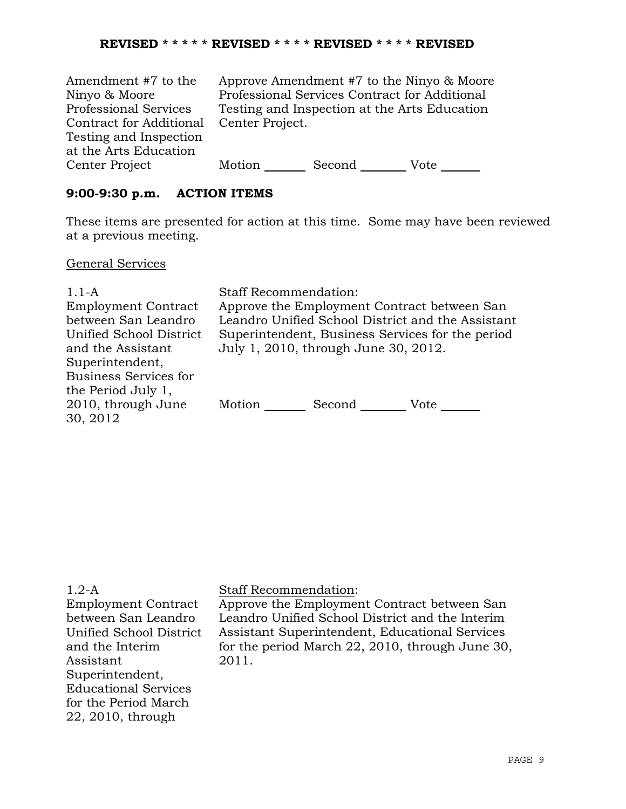| Amendment #7 to the          | Approve Amendment #7 to the Ninyo & Moore    |                                               |      |
|------------------------------|----------------------------------------------|-----------------------------------------------|------|
| Ninyo & Moore                |                                              | Professional Services Contract for Additional |      |
| <b>Professional Services</b> | Testing and Inspection at the Arts Education |                                               |      |
| Contract for Additional      | Center Project.                              |                                               |      |
| Testing and Inspection       |                                              |                                               |      |
| at the Arts Education        |                                              |                                               |      |
| Center Project               | Motion                                       | Second                                        | Vote |

## **9:00-9:30 p.m. ACTION ITEMS**

These items are presented for action at this time. Some may have been reviewed at a previous meeting.

### General Services

| $1.1-A$                      | <b>Staff Recommendation:</b>                      |  |  |
|------------------------------|---------------------------------------------------|--|--|
| <b>Employment Contract</b>   | Approve the Employment Contract between San       |  |  |
| between San Leandro          | Leandro Unified School District and the Assistant |  |  |
| Unified School District      | Superintendent, Business Services for the period  |  |  |
| and the Assistant            | July 1, 2010, through June 30, 2012.              |  |  |
| Superintendent,              |                                                   |  |  |
| <b>Business Services for</b> |                                                   |  |  |
| the Period July 1,           |                                                   |  |  |
| 2010, through June           | Motion<br>Second<br>Vote                          |  |  |
| 30, 2012                     |                                                   |  |  |

Employment Contract between San Leandro Unified School District and the Interim Assistant Superintendent, Educational Services for the Period March 22, 2010, through

### Staff Recommendation:

Approve the Employment Contract between San Leandro Unified School District and the Interim Assistant Superintendent, Educational Services for the period March 22, 2010, through June 30, 2011.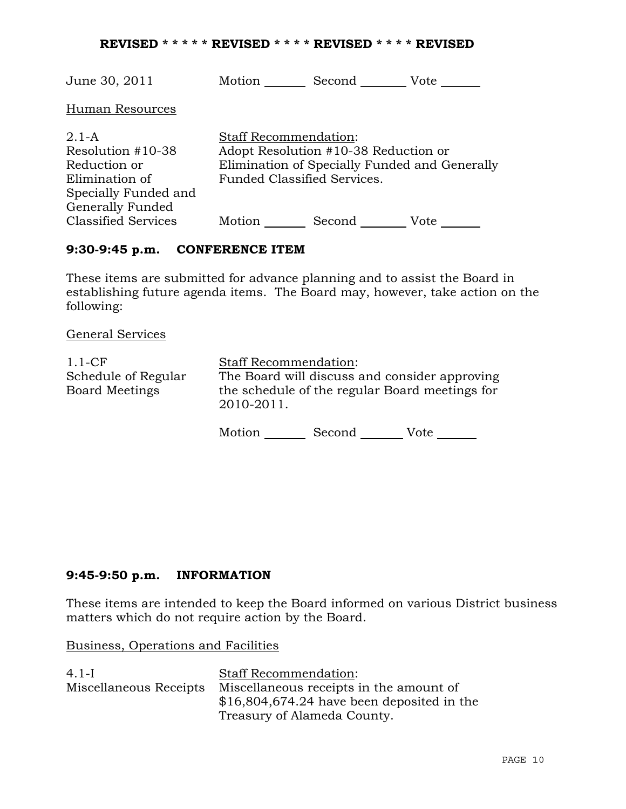### **REVISED \* \* \* \* \* REVISED \* \* \* \* REVISED \* \* \* \* REVISED**

| June 30, 2011                                                                                              | Motion                                                      | Second                                                                                | Vote |
|------------------------------------------------------------------------------------------------------------|-------------------------------------------------------------|---------------------------------------------------------------------------------------|------|
| Human Resources                                                                                            |                                                             |                                                                                       |      |
| $2.1-A$<br>Resolution #10-38<br>Reduction or<br>Elimination of<br>Specially Funded and<br>Generally Funded | <b>Staff Recommendation:</b><br>Funded Classified Services. | Adopt Resolution #10-38 Reduction or<br>Elimination of Specially Funded and Generally |      |
| <b>Classified Services</b>                                                                                 | Motion                                                      | Second                                                                                | Vote |

### **9:30-9:45 p.m. CONFERENCE ITEM**

These items are submitted for advance planning and to assist the Board in establishing future agenda items. The Board may, however, take action on the following:

General Services

| $1.1-CF$                                     | <b>Staff Recommendation:</b>                                                                                  |        |      |  |
|----------------------------------------------|---------------------------------------------------------------------------------------------------------------|--------|------|--|
| Schedule of Regular<br><b>Board Meetings</b> | The Board will discuss and consider approving<br>the schedule of the regular Board meetings for<br>2010-2011. |        |      |  |
|                                              | Motion                                                                                                        | Second | Vote |  |

# **9:45-9:50 p.m. INFORMATION**

These items are intended to keep the Board informed on various District business matters which do not require action by the Board.

Business, Operations and Facilities

| $4.1-I$                | <b>Staff Recommendation:</b>                |
|------------------------|---------------------------------------------|
| Miscellaneous Receipts | Miscellaneous receipts in the amount of     |
|                        | $$16,804,674.24$ have been deposited in the |
|                        | Treasury of Alameda County.                 |